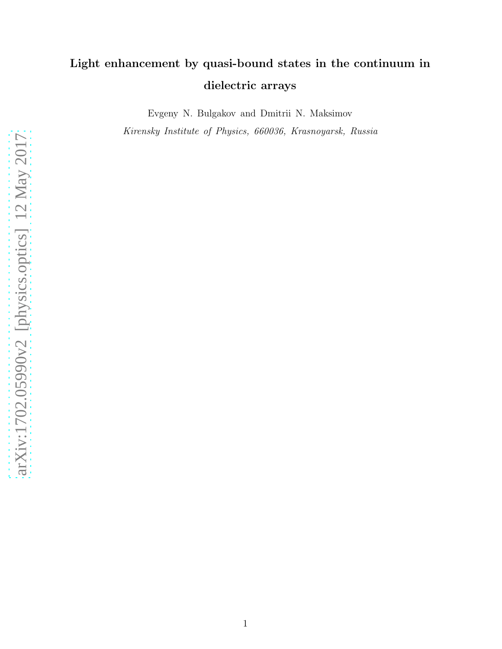# Light enhancement by quasi-bound states in the continuum in dielectric arrays

Evgeny N. Bulgakov and Dmitrii N. Maksimov

Kirensky Institute of Physics, 660036, Krasnoyarsk, Russia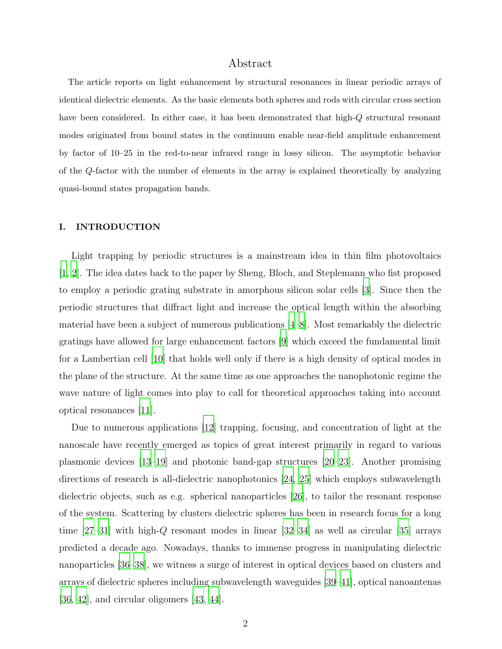# Abstract

The article reports on light enhancement by structural resonances in linear periodic arrays of identical dielectric elements. As the basic elements both spheres and rods with circular cross section have been considered. In either case, it has been demonstrated that high-Q structural resonant modes originated from bound states in the continuum enable near-field amplitude enhancement by factor of 10–25 in the red-to-near infrared range in lossy silicon. The asymptotic behavior of the Q-factor with the number of elements in the array is explained theoretically by analyzing quasi-bound states propagation bands.

#### I. INTRODUCTION

Light trapping by periodic structures is a mainstream idea in thin film photovoltaics [\[1](#page-17-0), [2\]](#page-17-1). The idea dates back to the paper by Sheng, Bloch, and Steplemann who fist proposed to employ a periodic grating substrate in amorphous silicon solar cells [\[3](#page-17-2)]. Since then the periodic structures that diffract light and increase the optical length within the absorbing material have been a subject of numerous publications [\[4](#page-17-3)[–8\]](#page-17-4). Most remarkably the dielectric gratings have allowed for large enhancement factors [\[9\]](#page-17-5) which exceed the fundamental limit for a Lambertian cell [\[10\]](#page-17-6) that holds well only if there is a high density of optical modes in the plane of the structure. At the same time as one approaches the nanophotonic regime the wave nature of light comes into play to call for theoretical approaches taking into account optical resonances [\[11](#page-17-7)].

Due to numerous applications [\[12\]](#page-17-8) trapping, focusing, and concentration of light at the nanoscale have recently emerged as topics of great interest primarily in regard to various plasmonic devices [\[13](#page-17-9)[–19\]](#page-18-0) and photonic band-gap structures [\[20](#page-18-1)[–23](#page-18-2)]. Another promising directions of research is all-dielectric nanophotonics [\[24,](#page-18-3) [25](#page-18-4)] which employs subwavelength dielectric objects, such as e.g. spherical nanoparticles [\[26\]](#page-18-5), to tailor the resonant response of the system. Scattering by clusters dielectric spheres has been in research focus for a long time [\[27](#page-18-6)[–31](#page-18-7)] with high-Q resonant modes in linear [\[32](#page-18-8)[–34\]](#page-18-9) as well as circular [\[35\]](#page-18-10) arrays predicted a decade ago. Nowadays, thanks to immense progress in manipulating dielectric nanoparticles [\[36](#page-18-11)[–38\]](#page-18-12), we witness a surge of interest in optical devices based on clusters and arrays of dielectric spheres including subwavelength waveguides [\[39](#page-18-13)[–41\]](#page-19-0), optical nanoantenas [\[36,](#page-18-11) [42\]](#page-19-1), and circular oligomers [\[43](#page-19-2), [44](#page-19-3)].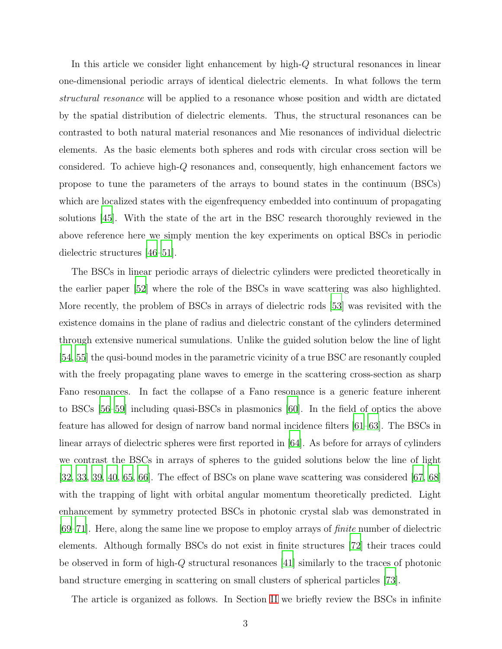In this article we consider light enhancement by high-Q structural resonances in linear one-dimensional periodic arrays of identical dielectric elements. In what follows the term structural resonance will be applied to a resonance whose position and width are dictated by the spatial distribution of dielectric elements. Thus, the structural resonances can be contrasted to both natural material resonances and Mie resonances of individual dielectric elements. As the basic elements both spheres and rods with circular cross section will be considered. To achieve high-Q resonances and, consequently, high enhancement factors we propose to tune the parameters of the arrays to bound states in the continuum (BSCs) which are localized states with the eigenfrequency embedded into continuum of propagating solutions [\[45\]](#page-19-4). With the state of the art in the BSC research thoroughly reviewed in the above reference here we simply mention the key experiments on optical BSCs in periodic dielectric structures [\[46](#page-19-5)[–51](#page-19-6)].

The BSCs in linear periodic arrays of dielectric cylinders were predicted theoretically in the earlier paper [\[52\]](#page-19-7) where the role of the BSCs in wave scattering was also highlighted. More recently, the problem of BSCs in arrays of dielectric rods [\[53\]](#page-19-8) was revisited with the existence domains in the plane of radius and dielectric constant of the cylinders determined through extensive numerical sumulations. Unlike the guided solution below the line of light [\[54,](#page-19-9) [55\]](#page-19-10) the qusi-bound modes in the parametric vicinity of a true BSC are resonantly coupled with the freely propagating plane waves to emerge in the scattering cross-section as sharp Fano resonances. In fact the collapse of a Fano resonance is a generic feature inherent to BSCs [\[56](#page-19-11)[–59](#page-19-12)] including quasi-BSCs in plasmonics [\[60](#page-20-0)]. In the field of optics the above feature has allowed for design of narrow band normal incidence filters [\[61](#page-20-1)[–63\]](#page-20-2). The BSCs in linear arrays of dielectric spheres were first reported in [\[64\]](#page-20-3). As before for arrays of cylinders we contrast the BSCs in arrays of spheres to the guided solutions below the line of light [\[32,](#page-18-8) [33,](#page-18-14) [39,](#page-18-13) [40](#page-19-13), [65,](#page-20-4) [66\]](#page-20-5). The effect of BSCs on plane wave scattering was considered [\[67](#page-20-6), [68\]](#page-20-7) with the trapping of light with orbital angular momentum theoretically predicted. Light enhancement by symmetry protected BSCs in photonic crystal slab was demonstrated in [\[69](#page-20-8)[–71\]](#page-20-9). Here, along the same line we propose to employ arrays of finite number of dielectric elements. Although formally BSCs do not exist in finite structures [\[72\]](#page-20-10) their traces could be observed in form of high-Q structural resonances [\[41](#page-19-0)] similarly to the traces of photonic band structure emerging in scattering on small clusters of spherical particles [\[73\]](#page-20-11).

The article is organized as follows. In Section [II](#page-3-0) we briefly review the BSCs in infinite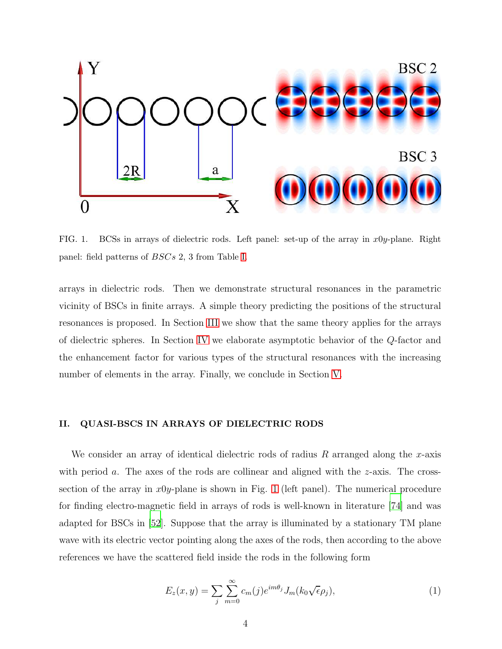

<span id="page-3-1"></span>FIG. 1. BCSs in arrays of dielectric rods. Left panel: set-up of the array in  $x0y$ -plane. Right panel: field patterns of BSCs 2, 3 from Table [I.](#page-4-0)

arrays in dielectric rods. Then we demonstrate structural resonances in the parametric vicinity of BSCs in finite arrays. A simple theory predicting the positions of the structural resonances is proposed. In Section [III](#page-10-0) we show that the same theory applies for the arrays of dielectric spheres. In Section [IV](#page-11-0) we elaborate asymptotic behavior of the Q-factor and the enhancement factor for various types of the structural resonances with the increasing number of elements in the array. Finally, we conclude in Section [V.](#page-15-0)

# <span id="page-3-0"></span>II. QUASI-BSCS IN ARRAYS OF DIELECTRIC RODS

We consider an array of identical dielectric rods of radius  $R$  arranged along the x-axis with period a. The axes of the rods are collinear and aligned with the  $z$ -axis. The crosssection of the array in  $x0y$ -plane is shown in Fig. [1](#page-3-1) (left panel). The numerical procedure for finding electro-magnetic field in arrays of rods is well-known in literature [\[74\]](#page-20-12) and was adapted for BSCs in [\[52](#page-19-7)]. Suppose that the array is illuminated by a stationary TM plane wave with its electric vector pointing along the axes of the rods, then according to the above references we have the scattered field inside the rods in the following form

<span id="page-3-2"></span>
$$
E_z(x,y) = \sum_j \sum_{m=0}^{\infty} c_m(j) e^{im\theta_j} J_m(k_0 \sqrt{\epsilon} \rho_j), \qquad (1)
$$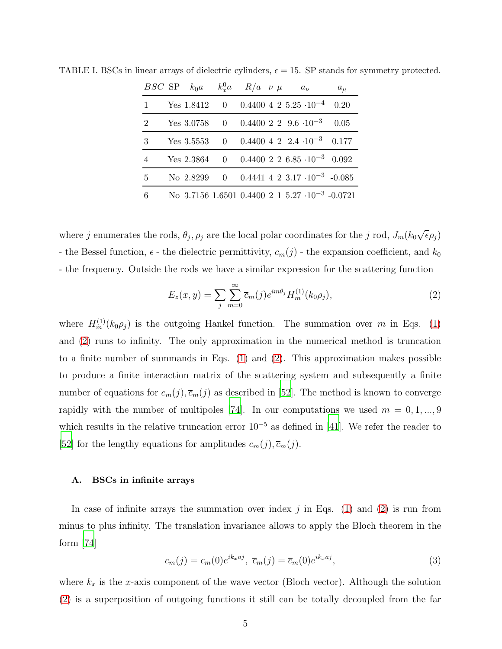<span id="page-4-0"></span>

|           | $BSC$ SP $k_0a$ | $k_x^0 a$ $R/a$ $\nu \mu$ |  | $a_{\nu}$                                                | $a_{\mu}$ |
|-----------|-----------------|---------------------------|--|----------------------------------------------------------|-----------|
| $1 \quad$ |                 |                           |  | Yes 1.8412 0 0.4400 4 2 5.25 $\cdot 10^{-4}$             | 0.20      |
| 2         |                 |                           |  | Yes $3.0758$ 0 0.4400 2 2 9.6 $\cdot 10^{-3}$            | 0.05      |
| 3         |                 |                           |  | Yes 3.5553 0 0.4400 4 2 2.4 $\cdot 10^{-3}$ 0.177        |           |
| 4         |                 |                           |  | Yes 2.3864 0 0.4400 2 2 6.85 $\cdot 10^{-3}$ 0.092       |           |
| 5         |                 |                           |  | No 2.8299 0 0.4441 4 2 3.17 $\cdot 10^{-3}$ -0.085       |           |
| 6         |                 |                           |  | No 3.7156 1.6501 0.4400 2 1 5.27 $\cdot 10^{-3}$ -0.0721 |           |

TABLE I. BSCs in linear arrays of dielectric cylinders,  $\epsilon = 15$ . SP stands for symmetry protected.

where j enumerates the rods,  $\theta_j$ ,  $\rho_j$  are the local polar coordinates for the j rod,  $J_m(k_0\sqrt{\epsilon}\rho_j)$ - the Bessel function,  $\epsilon$  - the dielectric permittivity,  $c_m(j)$  - the expansion coefficient, and  $k_0$ - the frequency. Outside the rods we have a similar expression for the scattering function

<span id="page-4-1"></span>
$$
E_z(x,y) = \sum_{j} \sum_{m=0}^{\infty} \overline{c}_m(j) e^{im\theta_j} H_m^{(1)}(k_0 \rho_j), \qquad (2)
$$

where  $H_m^{(1)}(k_0\rho_j)$  is the outgoing Hankel function. The summation over m in Eqs. [\(1\)](#page-3-2) and [\(2\)](#page-4-1) runs to infinity. The only approximation in the numerical method is truncation to a finite number of summands in Eqs. [\(1\)](#page-3-2) and [\(2\)](#page-4-1). This approximation makes possible to produce a finite interaction matrix of the scattering system and subsequently a finite number of equations for  $c_m(j), \overline{c}_m(j)$  as described in [\[52\]](#page-19-7). The method is known to converge rapidly with the number of multipoles [\[74\]](#page-20-12). In our computations we used  $m = 0, 1, ..., 9$ which results in the relative truncation error  $10^{-5}$  as defined in [\[41](#page-19-0)]. We refer the reader to [\[52\]](#page-19-7) for the lengthy equations for amplitudes  $c_m(j), \overline{c}_m(j)$ .

#### A. BSCs in infinite arrays

In case of infinite arrays the summation over index  $j$  in Eqs. [\(1\)](#page-3-2) and [\(2\)](#page-4-1) is run from minus to plus infinity. The translation invariance allows to apply the Bloch theorem in the form [\[74\]](#page-20-12)

$$
c_m(j) = c_m(0)e^{ik_x a j}, \overline{c}_m(j) = \overline{c}_m(0)e^{ik_x a j}, \qquad (3)
$$

where  $k_x$  is the x-axis component of the wave vector (Bloch vector). Although the solution [\(2\)](#page-4-1) is a superposition of outgoing functions it still can be totally decoupled from the far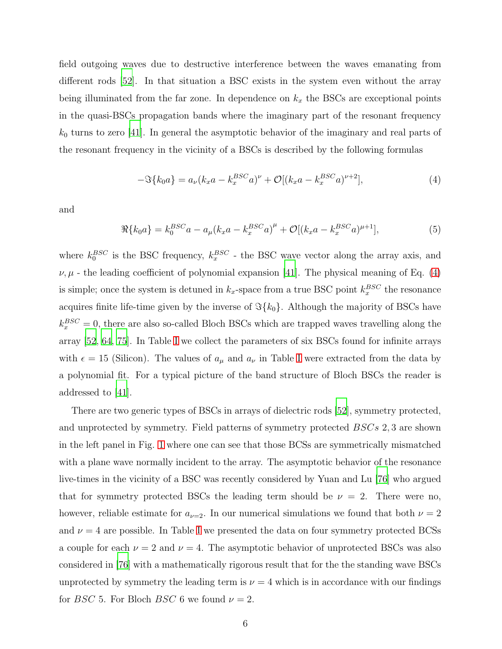field outgoing waves due to destructive interference between the waves emanating from different rods [\[52](#page-19-7)]. In that situation a BSC exists in the system even without the array being illuminated from the far zone. In dependence on  $k_x$  the BSCs are exceptional points in the quasi-BSCs propagation bands where the imaginary part of the resonant frequency  $k_0$  turns to zero [\[41\]](#page-19-0). In general the asymptotic behavior of the imaginary and real parts of the resonant frequency in the vicinity of a BSCs is described by the following formulas

<span id="page-5-0"></span>
$$
-\Im{k_0a} = a_{\nu}(k_x a - k_x^{BSC}a)^{\nu} + \mathcal{O}[(k_x a - k_x^{BSC}a)^{\nu+2}], \tag{4}
$$

and

<span id="page-5-1"></span>
$$
\Re{k_0 a} = k_0^{BSC} a - a_\mu (k_x a - k_x^{BSC} a)^\mu + \mathcal{O}[(k_x a - k_x^{BSC} a)^{\mu+1}], \tag{5}
$$

where  $k_0^{BSC}$  is the BSC frequency,  $k_x^{BSC}$  - the BSC wave vector along the array axis, and  $\nu, \mu$  - the leading coefficient of polynomial expansion [\[41\]](#page-19-0). The physical meaning of Eq. [\(4\)](#page-5-0) is simple; once the system is detuned in  $k_x$ -space from a true BSC point  $k_x^{BSC}$  the resonance acquires finite life-time given by the inverse of  $\Im{k_0}$ . Although the majority of BSCs have  $k_x^{BSC} = 0$ , there are also so-called Bloch BSCs which are trapped waves travelling along the array [\[52](#page-19-7), [64](#page-20-3), [75\]](#page-20-13). In Table [I](#page-4-0) we collect the parameters of six BSCs found for infinite arrays with  $\epsilon = 15$  (Silicon). The values of  $a_{\mu}$  and  $a_{\nu}$  in Table [I](#page-4-0) were extracted from the data by a polynomial fit. For a typical picture of the band structure of Bloch BSCs the reader is addressed to [\[41\]](#page-19-0).

There are two generic types of BSCs in arrays of dielectric rods [\[52\]](#page-19-7), symmetry protected, and unprotected by symmetry. Field patterns of symmetry protected BSCs 2, 3 are shown in the left panel in Fig. [1](#page-3-1) where one can see that those BCSs are symmetrically mismatched with a plane wave normally incident to the array. The asymptotic behavior of the resonance live-times in the vicinity of a BSC was recently considered by Yuan and Lu [\[76\]](#page-20-14) who argued that for symmetry protected BSCs the leading term should be  $\nu = 2$ . There were no, however, reliable estimate for  $a_{\nu=2}$ . In our numerical simulations we found that both  $\nu=2$ and  $\nu = 4$  are possible. [I](#page-4-0)n Table I we presented the data on four symmetry protected BCSs a couple for each  $\nu = 2$  and  $\nu = 4$ . The asymptotic behavior of unprotected BSCs was also considered in [\[76](#page-20-14)] with a mathematically rigorous result that for the the standing wave BSCs unprotected by symmetry the leading term is  $\nu = 4$  which is in accordance with our findings for *BSC* 5. For Bloch *BSC* 6 we found  $\nu = 2$ .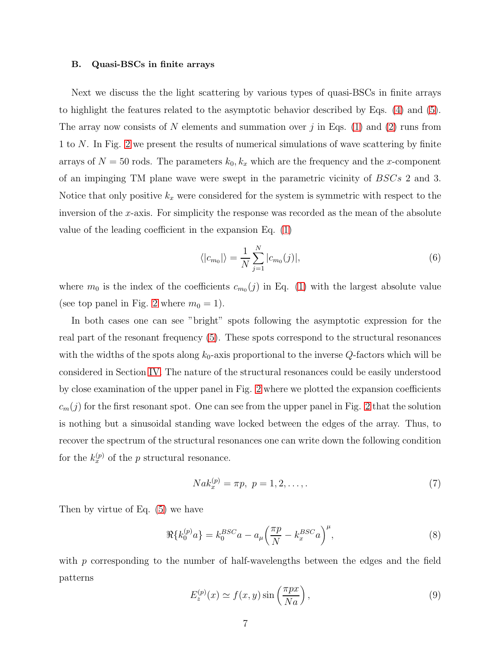#### B. Quasi-BSCs in finite arrays

Next we discuss the the light scattering by various types of quasi-BSCs in finite arrays to highlight the features related to the asymptotic behavior described by Eqs. [\(4\)](#page-5-0) and [\(5\)](#page-5-1). The array now consists of N elements and summation over j in Eqs. [\(1\)](#page-3-2) and [\(2\)](#page-4-1) runs from 1 to N. In Fig. [2](#page-7-0) we present the results of numerical simulations of wave scattering by finite arrays of  $N = 50$  rods. The parameters  $k_0, k_x$  which are the frequency and the x-component of an impinging TM plane wave were swept in the parametric vicinity of BSCs 2 and 3. Notice that only positive  $k_x$  were considered for the system is symmetric with respect to the inversion of the x-axis. For simplicity the response was recorded as the mean of the absolute value of the leading coefficient in the expansion Eq. [\(1\)](#page-3-2)

<span id="page-6-3"></span>
$$
\langle |c_{m_0}| \rangle = \frac{1}{N} \sum_{j=1}^{N} |c_{m_0}(j)|, \tag{6}
$$

where  $m_0$  is the index of the coefficients  $c_{m_0}(j)$  in Eq. [\(1\)](#page-3-2) with the largest absolute value (see top panel in Fig. [2](#page-7-0) where  $m_0 = 1$ ).

In both cases one can see "bright" spots following the asymptotic expression for the real part of the resonant frequency [\(5\)](#page-5-1). These spots correspond to the structural resonances with the widths of the spots along  $k_0$ -axis proportional to the inverse  $Q$ -factors which will be considered in Section [IV.](#page-11-0) The nature of the structural resonances could be easily understood by close examination of the upper panel in Fig. [2](#page-7-0) where we plotted the expansion coefficients  $c_m(j)$  for the first resonant spot. One can see from the upper panel in Fig. [2](#page-7-0) that the solution is nothing but a sinusoidal standing wave locked between the edges of the array. Thus, to recover the spectrum of the structural resonances one can write down the following condition for the  $k_x^{(p)}$  of the p structural resonance.

<span id="page-6-0"></span>
$$
Nak_x^{(p)} = \pi p, \ p = 1, 2, \dots
$$
\n(7)

Then by virtue of Eq. [\(5\)](#page-5-1) we have

<span id="page-6-1"></span>
$$
\Re\{k_0^{(p)}a\} = k_0^{BSC}a - a_\mu \left(\frac{\pi p}{N} - k_x^{BSC}a\right)^\mu,\tag{8}
$$

with  $p$  corresponding to the number of half-wavelengths between the edges and the field patterns

<span id="page-6-2"></span>
$$
E_z^{(p)}(x) \simeq f(x, y) \sin\left(\frac{\pi px}{Na}\right),\tag{9}
$$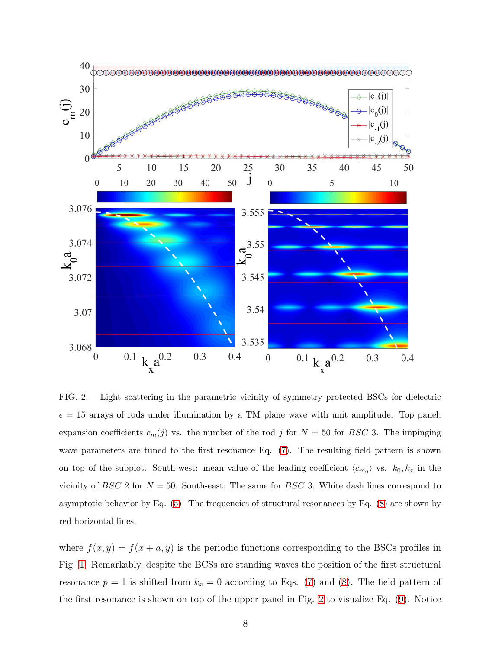

<span id="page-7-0"></span>FIG. 2. Light scattering in the parametric vicinity of symmetry protected BSCs for dielectric  $\epsilon = 15$  arrays of rods under illumination by a TM plane wave with unit amplitude. Top panel: expansion coefficients  $c_m(j)$  vs. the number of the rod j for  $N = 50$  for BSC 3. The impinging wave parameters are tuned to the first resonance Eq. [\(7\)](#page-6-0). The resulting field pattern is shown on top of the subplot. South-west: mean value of the leading coefficient  $\langle c_{m_0} \rangle$  vs.  $k_0, k_x$  in the vicinity of BSC 2 for  $N = 50$ . South-east: The same for BSC 3. White dash lines correspond to asymptotic behavior by Eq.  $(5)$ . The frequencies of structural resonances by Eq.  $(8)$  are shown by red horizontal lines.

where  $f(x, y) = f(x + a, y)$  is the periodic functions corresponding to the BSCs profiles in Fig. [1.](#page-3-1) Remarkably, despite the BCSs are standing waves the position of the first structural resonance  $p = 1$  is shifted from  $k_x = 0$  according to Eqs. [\(7\)](#page-6-0) and [\(8\)](#page-6-1). The field pattern of the first resonance is shown on top of the upper panel in Fig. [2](#page-7-0) to visualize Eq. [\(9\)](#page-6-2). Notice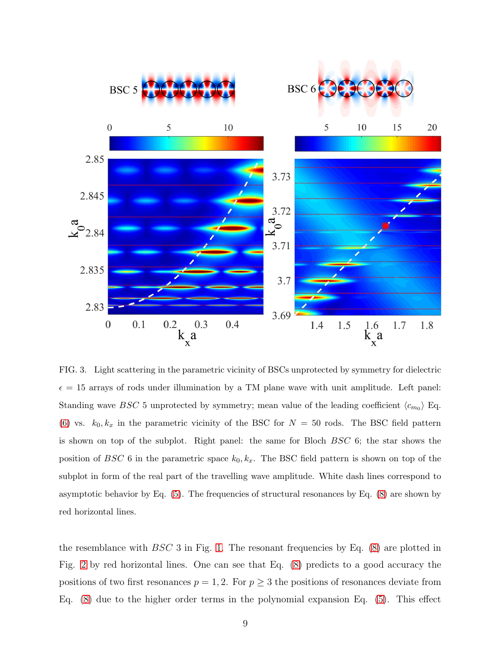

<span id="page-8-0"></span>FIG. 3. Light scattering in the parametric vicinity of BSCs unprotected by symmetry for dielectric  $\epsilon = 15$  arrays of rods under illumination by a TM plane wave with unit amplitude. Left panel: Standing wave BSC 5 unprotected by symmetry; mean value of the leading coefficient  $\langle c_{m_0} \rangle$  Eq. [\(6\)](#page-6-3) vs.  $k_0, k_x$  in the parametric vicinity of the BSC for  $N = 50$  rods. The BSC field pattern is shown on top of the subplot. Right panel: the same for Bloch BSC 6; the star shows the position of BSC 6 in the parametric space  $k_0, k_x$ . The BSC field pattern is shown on top of the subplot in form of the real part of the travelling wave amplitude. White dash lines correspond to asymptotic behavior by Eq.  $(5)$ . The frequencies of structural resonances by Eq.  $(8)$  are shown by red horizontal lines.

the resemblance with  $BSC$  3 in Fig. [1.](#page-3-1) The resonant frequencies by Eq. [\(8\)](#page-6-1) are plotted in Fig. [2](#page-7-0) by red horizontal lines. One can see that Eq. [\(8\)](#page-6-1) predicts to a good accuracy the positions of two first resonances  $p = 1, 2$ . For  $p \geq 3$  the positions of resonances deviate from Eq. [\(8\)](#page-6-1) due to the higher order terms in the polynomial expansion Eq. [\(5\)](#page-5-1). This effect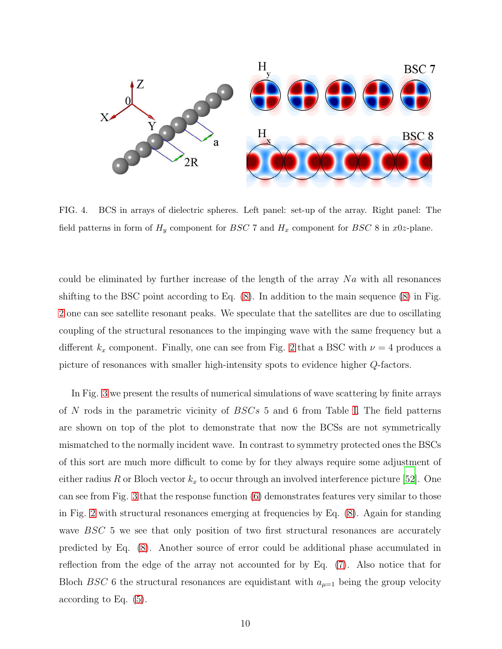

<span id="page-9-0"></span>FIG. 4. BCS in arrays of dielectric spheres. Left panel: set-up of the array. Right panel: The field patterns in form of  $H_y$  component for BSC 7 and  $H_x$  component for BSC 8 in x0z-plane.

could be eliminated by further increase of the length of the array  $Na$  with all resonances shifting to the BSC point according to Eq. [\(8\)](#page-6-1). In addition to the main sequence [\(8\)](#page-6-1) in Fig. [2](#page-7-0) one can see satellite resonant peaks. We speculate that the satellites are due to oscillating coupling of the structural resonances to the impinging wave with the same frequency but a different  $k_x$  component. Finally, one can see from Fig. [2](#page-7-0) that a BSC with  $\nu = 4$  produces a picture of resonances with smaller high-intensity spots to evidence higher Q-factors.

In Fig. [3](#page-8-0) we present the results of numerical simulations of wave scattering by finite arrays of N rods in the parametric vicinity of  $BSCs$  5 and 6 from Table [I.](#page-4-0) The field patterns are shown on top of the plot to demonstrate that now the BCSs are not symmetrically mismatched to the normally incident wave. In contrast to symmetry protected ones the BSCs of this sort are much more difficult to come by for they always require some adjustment of either radius R or Bloch vector  $k_x$  to occur through an involved interference picture [\[52](#page-19-7)]. One can see from Fig. [3](#page-8-0) that the response function [\(6\)](#page-6-3) demonstrates features very similar to those in Fig. [2](#page-7-0) with structural resonances emerging at frequencies by Eq. [\(8\)](#page-6-1). Again for standing wave BSC 5 we see that only position of two first structural resonances are accurately predicted by Eq. [\(8\)](#page-6-1). Another source of error could be additional phase accumulated in reflection from the edge of the array not accounted for by Eq. [\(7\)](#page-6-0). Also notice that for Bloch BSC 6 the structural resonances are equidistant with  $a_{\mu=1}$  being the group velocity according to Eq. [\(5\)](#page-5-1).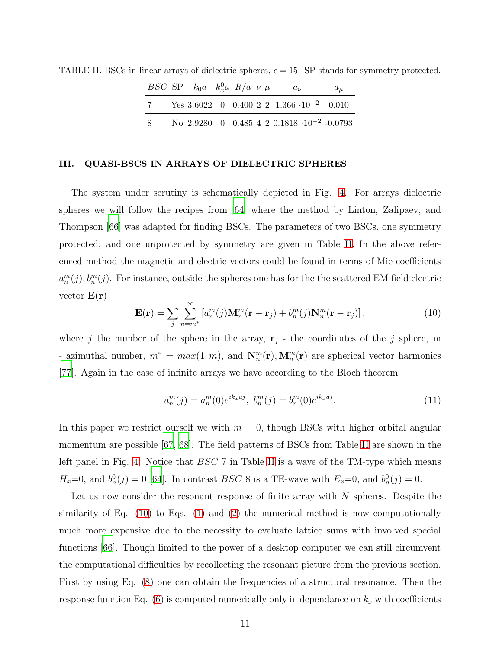<span id="page-10-1"></span>

|    | <i>BSC</i> SP $k_0a$ $k_n^0a$ $R/a$ $\nu \mu$ |  |  | $a_{\nu}$                                            | $a_{\mu}$ |
|----|-----------------------------------------------|--|--|------------------------------------------------------|-----------|
| 7  |                                               |  |  | Yes 3.6022 0 0.400 2 2 1.366 $\cdot 10^{-2}$ 0.010   |           |
| -8 |                                               |  |  | No 2.9280 0 0.485 4 2 0.1818 $\cdot 10^{-2}$ -0.0793 |           |

TABLE II. BSCs in linear arrays of dielectric spheres,  $\epsilon = 15$ . SP stands for symmetry protected.

#### <span id="page-10-0"></span>III. QUASI-BSCS IN ARRAYS OF DIELECTRIC SPHERES

The system under scrutiny is schematically depicted in Fig. [4.](#page-9-0) For arrays dielectric spheres we will follow the recipes from [\[64\]](#page-20-3) where the method by Linton, Zalipaev, and Thompson [\[66\]](#page-20-5) was adapted for finding BSCs. The parameters of two BSCs, one symmetry protected, and one unprotected by symmetry are given in Table [II.](#page-10-1) In the above referenced method the magnetic and electric vectors could be found in terms of Mie coefficients  $a_n^m(j), b_n^m(j)$ . For instance, outside the spheres one has for the the scattered EM field electric vector  $\mathbf{E}(\mathbf{r})$ 

<span id="page-10-2"></span>
$$
\mathbf{E}(\mathbf{r}) = \sum_{j} \sum_{n=m^{*}}^{\infty} \left[ a_{n}^{m}(j) \mathbf{M}_{n}^{m}(\mathbf{r} - \mathbf{r}_{j}) + b_{n}^{m}(j) \mathbf{N}_{n}^{m}(\mathbf{r} - \mathbf{r}_{j}) \right],
$$
\n(10)

where j the number of the sphere in the array,  $\mathbf{r}_j$  - the coordinates of the j sphere, m - azimuthal number,  $m^* = max(1, m)$ , and  $\mathbf{N}_n^m(\mathbf{r}), \mathbf{M}_n^m(\mathbf{r})$  are spherical vector harmonics [\[77\]](#page-20-15). Again in the case of infinite arrays we have according to the Bloch theorem

$$
a_n^m(j) = a_n^m(0)e^{ik_x a j}, \ b_n^m(j) = b_n^m(0)e^{ik_x a j}.
$$
 (11)

In this paper we restrict ourself we with  $m = 0$ , though BSCs with higher orbital angular momentum are possible [\[67,](#page-20-6) [68](#page-20-7)]. The field patterns of BSCs from Table [II](#page-10-1) are shown in the left panel in Fig. [4.](#page-9-0) Notice that *BSC* 7 in Table [II](#page-10-1) is a wave of the TM-type which means  $H_x=0$ , and  $b_n^0(j)=0$  [\[64\]](#page-20-3). In contrast BSC 8 is a TE-wave with  $E_x=0$ , and  $b_n^0(j)=0$ .

Let us now consider the resonant response of finite array with  $N$  spheres. Despite the similarity of Eq. [\(10\)](#page-10-2) to Eqs. [\(1\)](#page-3-2) and [\(2\)](#page-4-1) the numerical method is now computationally much more expensive due to the necessity to evaluate lattice sums with involved special functions [\[66\]](#page-20-5). Though limited to the power of a desktop computer we can still circumvent the computational difficulties by recollecting the resonant picture from the previous section. First by using Eq.  $(8)$  one can obtain the frequencies of a structural resonance. Then the response function Eq.  $(6)$  is computed numerically only in dependance on  $k_x$  with coefficients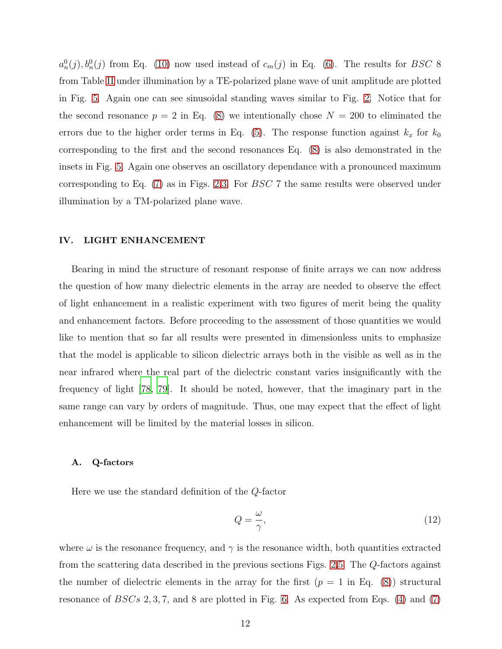$a_n^0(j), b_n^0(j)$  from Eq. [\(10\)](#page-10-2) now used instead of  $c_m(j)$  in Eq. [\(6\)](#page-6-3). The results for BSC 8 from Table [II](#page-10-1) under illumination by a TE-polarized plane wave of unit amplitude are plotted in Fig. [5.](#page-12-0) Again one can see sinusoidal standing waves similar to Fig. [2.](#page-7-0) Notice that for the second resonance  $p = 2$  in Eq. [\(8\)](#page-6-1) we intentionally chose  $N = 200$  to eliminated the errors due to the higher order terms in Eq. [\(5\)](#page-5-1). The response function against  $k_x$  for  $k_0$ corresponding to the first and the second resonances Eq. [\(8\)](#page-6-1) is also demonstrated in the insets in Fig. [5.](#page-12-0) Again one observes an oscillatory dependance with a pronounced maximum corresponding to Eq. [\(7\)](#page-6-0) as in Figs. [2](#page-7-0)[,3.](#page-8-0) For BSC 7 the same results were observed under illumination by a TM-polarized plane wave.

#### <span id="page-11-0"></span>IV. LIGHT ENHANCEMENT

Bearing in mind the structure of resonant response of finite arrays we can now address the question of how many dielectric elements in the array are needed to observe the effect of light enhancement in a realistic experiment with two figures of merit being the quality and enhancement factors. Before proceeding to the assessment of those quantities we would like to mention that so far all results were presented in dimensionless units to emphasize that the model is applicable to silicon dielectric arrays both in the visible as well as in the near infrared where the real part of the dielectric constant varies insignificantly with the frequency of light [\[78](#page-20-16), [79](#page-20-17)]. It should be noted, however, that the imaginary part in the same range can vary by orders of magnitude. Thus, one may expect that the effect of light enhancement will be limited by the material losses in silicon.

## A. Q-factors

Here we use the standard definition of the Q-factor

$$
Q = \frac{\omega}{\gamma},\tag{12}
$$

where  $\omega$  is the resonance frequency, and  $\gamma$  is the resonance width, both quantities extracted from the scattering data described in the previous sections Figs. [2](#page-7-0)[,5.](#page-12-0) The Q-factors against the number of dielectric elements in the array for the first  $(p = 1 \text{ in Eq. (8)})$  $(p = 1 \text{ in Eq. (8)})$  $(p = 1 \text{ in Eq. (8)})$  structural resonance of  $BSCs$  2, 3, 7, and 8 are plotted in Fig. [6.](#page-13-0) As expected from Eqs. [\(4\)](#page-5-0) and [\(7\)](#page-6-0)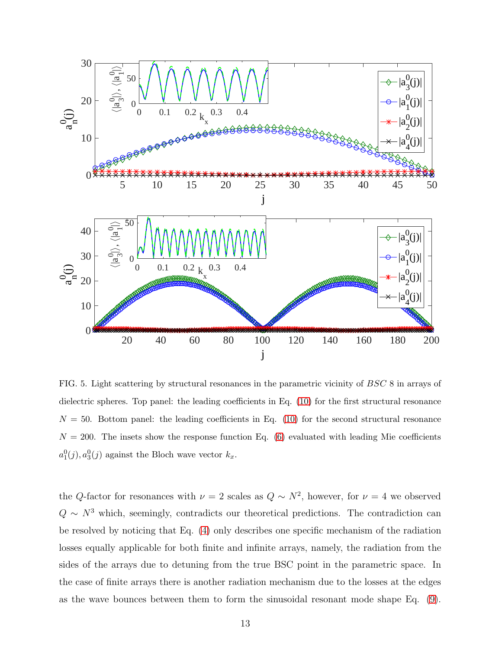

<span id="page-12-0"></span>FIG. 5. Light scattering by structural resonances in the parametric vicinity of BSC 8 in arrays of dielectric spheres. Top panel: the leading coefficients in Eq. [\(10\)](#page-10-2) for the first structural resonance  $N = 50$ . Bottom panel: the leading coefficients in Eq. [\(10\)](#page-10-2) for the second structural resonance  $N = 200$ . The insets show the response function Eq. [\(6\)](#page-6-3) evaluated with leading Mie coefficients  $a_1^0(j), a_3^0(j)$  against the Bloch wave vector  $k_x$ .

the Q-factor for resonances with  $\nu = 2$  scales as  $Q \sim N^2$ , however, for  $\nu = 4$  we observed  $Q \sim N^3$  which, seemingly, contradicts our theoretical predictions. The contradiction can be resolved by noticing that Eq. [\(4\)](#page-5-0) only describes one specific mechanism of the radiation losses equally applicable for both finite and infinite arrays, namely, the radiation from the sides of the arrays due to detuning from the true BSC point in the parametric space. In the case of finite arrays there is another radiation mechanism due to the losses at the edges as the wave bounces between them to form the sinusoidal resonant mode shape Eq. [\(9\)](#page-6-2).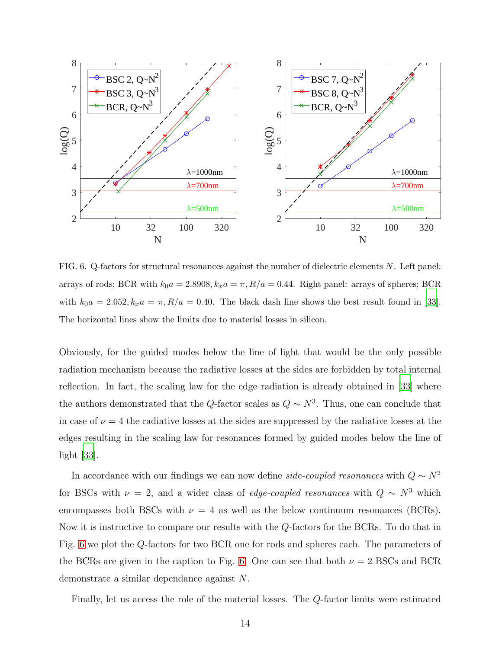

<span id="page-13-0"></span>FIG. 6. Q-factors for structural resonances against the number of dielectric elements N. Left panel: arrays of rods; BCR with  $k_0a = 2.8908$ ,  $k_xa = \pi$ ,  $R/a = 0.44$ . Right panel: arrays of spheres; BCR with  $k_0a = 2.052$ ,  $k_x a = \pi$ ,  $R/a = 0.40$ . The black dash line shows the best result found in [\[33](#page-18-14)]. The horizontal lines show the limits due to material losses in silicon.

Obviously, for the guided modes below the line of light that would be the only possible radiation mechanism because the radiative losses at the sides are forbidden by total internal reflection. In fact, the scaling law for the edge radiation is already obtained in [\[33\]](#page-18-14) where the authors demonstrated that the Q-factor scales as  $Q \sim N^3$ . Thus, one can conclude that in case of  $\nu = 4$  the radiative losses at the sides are suppressed by the radiative losses at the edges resulting in the scaling law for resonances formed by guided modes below the line of light [\[33](#page-18-14)].

In accordance with our findings we can now define *side-coupled resonances* with  $Q \sim N^2$ for BSCs with  $\nu = 2$ , and a wider class of *edge-coupled resonances* with  $Q \sim N^3$  which encompasses both BSCs with  $\nu = 4$  as well as the below continuum resonances (BCRs). Now it is instructive to compare our results with the Q-factors for the BCRs. To do that in Fig. [6](#page-13-0) we plot the Q-factors for two BCR one for rods and spheres each. The parameters of the BCRs are given in the caption to Fig. [6.](#page-13-0) One can see that both  $\nu = 2$  BSCs and BCR demonstrate a similar dependance against N.

Finally, let us access the role of the material losses. The Q-factor limits were estimated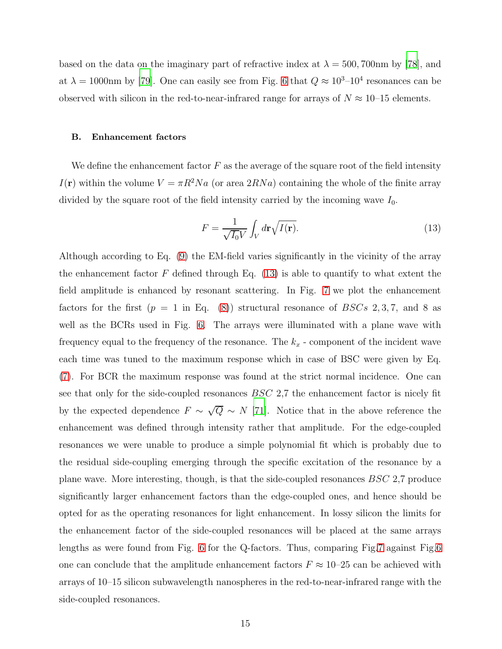based on the data on the imaginary part of refractive index at  $\lambda = 500, 700$  nm by [\[78](#page-20-16)], and at  $\lambda = 1000$ nm by [\[79](#page-20-17)]. One can easily see from Fig. [6](#page-13-0) that  $Q \approx 10^{3}$ -10<sup>4</sup> resonances can be observed with silicon in the red-to-near-infrared range for arrays of  $N \approx 10$ –15 elements.

#### B. Enhancement factors

We define the enhancement factor  $F$  as the average of the square root of the field intensity I(r) within the volume  $V = \pi R^2 N a$  (or area  $2RNa$ ) containing the whole of the finite array divided by the square root of the field intensity carried by the incoming wave  $I_0$ .

<span id="page-14-0"></span>
$$
F = \frac{1}{\sqrt{I_0 V}} \int_V d\mathbf{r} \sqrt{I(\mathbf{r})}.
$$
\n(13)

Although according to Eq. [\(9\)](#page-6-2) the EM-field varies significantly in the vicinity of the array the enhancement factor  $F$  defined through Eq. [\(13\)](#page-14-0) is able to quantify to what extent the field amplitude is enhanced by resonant scattering. In Fig. [7](#page-15-1) we plot the enhancement factors for the first  $(p = 1 \text{ in Eq. (8)})$  $(p = 1 \text{ in Eq. (8)})$  $(p = 1 \text{ in Eq. (8)})$  structural resonance of  $BSCs$  2, 3, 7, and 8 as well as the BCRs used in Fig. [6.](#page-13-0) The arrays were illuminated with a plane wave with frequency equal to the frequency of the resonance. The  $k_x$  - component of the incident wave each time was tuned to the maximum response which in case of BSC were given by Eq. [\(7\)](#page-6-0). For BCR the maximum response was found at the strict normal incidence. One can see that only for the side-coupled resonances  $BSC$  2,7 the enhancement factor is nicely fit by the expected dependence  $F \sim \sqrt{Q} \sim N$  [\[71](#page-20-9)]. Notice that in the above reference the enhancement was defined through intensity rather that amplitude. For the edge-coupled resonances we were unable to produce a simple polynomial fit which is probably due to the residual side-coupling emerging through the specific excitation of the resonance by a plane wave. More interesting, though, is that the side-coupled resonances BSC 2,7 produce significantly larger enhancement factors than the edge-coupled ones, and hence should be opted for as the operating resonances for light enhancement. In lossy silicon the limits for the enhancement factor of the side-coupled resonances will be placed at the same arrays lengths as were found from Fig. [6](#page-13-0) for the Q-factors. Thus, comparing Fig[.7](#page-15-1) against Fig[.6](#page-13-0) one can conclude that the amplitude enhancement factors  $F \approx 10{\text -}25$  can be achieved with arrays of 10–15 silicon subwavelength nanospheres in the red-to-near-infrared range with the side-coupled resonances.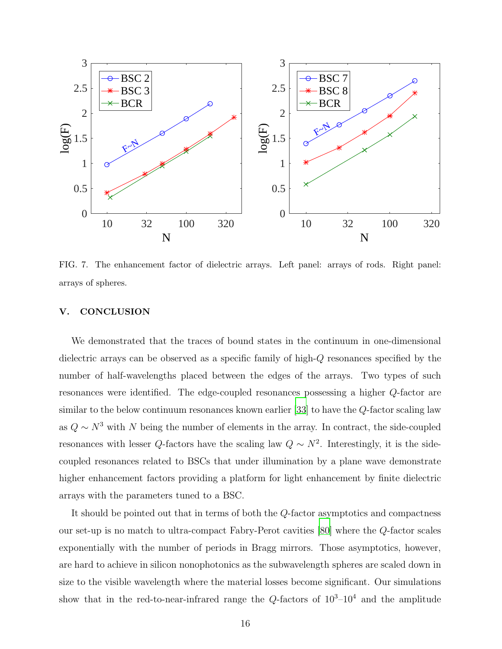

<span id="page-15-1"></span>FIG. 7. The enhancement factor of dielectric arrays. Left panel: arrays of rods. Right panel: arrays of spheres.

# <span id="page-15-0"></span>V. CONCLUSION

We demonstrated that the traces of bound states in the continuum in one-dimensional dielectric arrays can be observed as a specific family of high-Q resonances specified by the number of half-wavelengths placed between the edges of the arrays. Two types of such resonances were identified. The edge-coupled resonances possessing a higher Q-factor are similar to the below continuum resonances known earlier [\[33\]](#page-18-14) to have the Q-factor scaling law as  $Q \sim N^3$  with N being the number of elements in the array. In contract, the side-coupled resonances with lesser Q-factors have the scaling law  $Q \sim N^2$ . Interestingly, it is the sidecoupled resonances related to BSCs that under illumination by a plane wave demonstrate higher enhancement factors providing a platform for light enhancement by finite dielectric arrays with the parameters tuned to a BSC.

It should be pointed out that in terms of both the Q-factor asymptotics and compactness our set-up is no match to ultra-compact Fabry-Perot cavities [\[80](#page-20-18)] where the Q-factor scales exponentially with the number of periods in Bragg mirrors. Those asymptotics, however, are hard to achieve in silicon nonophotonics as the subwavelength spheres are scaled down in size to the visible wavelength where the material losses become significant. Our simulations show that in the red-to-near-infrared range the  $Q$ -factors of  $10^3$ - $10^4$  and the amplitude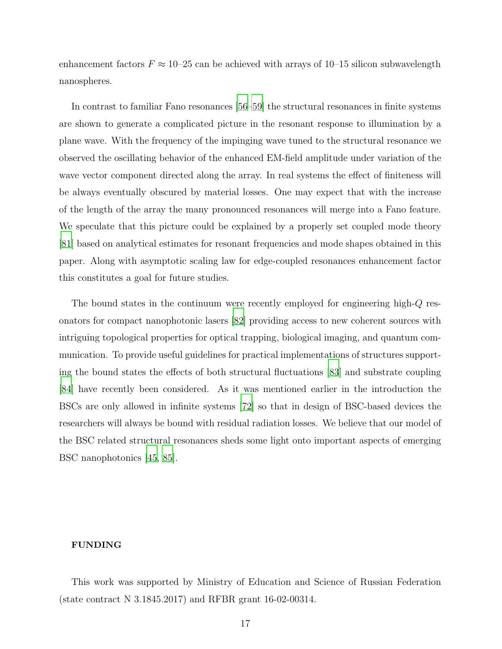enhancement factors  $F \approx 10^{-25}$  can be achieved with arrays of 10–15 silicon subwavelength nanospheres.

In contrast to familiar Fano resonances [\[56](#page-19-11)[–59\]](#page-19-12) the structural resonances in finite systems are shown to generate a complicated picture in the resonant response to illumination by a plane wave. With the frequency of the impinging wave tuned to the structural resonance we observed the oscillating behavior of the enhanced EM-field amplitude under variation of the wave vector component directed along the array. In real systems the effect of finiteness will be always eventually obscured by material losses. One may expect that with the increase of the length of the array the many pronounced resonances will merge into a Fano feature. We speculate that this picture could be explained by a properly set coupled mode theory [\[81](#page-20-19)] based on analytical estimates for resonant frequencies and mode shapes obtained in this paper. Along with asymptotic scaling law for edge-coupled resonances enhancement factor this constitutes a goal for future studies.

The bound states in the continuum were recently employed for engineering high-Q resonators for compact nanophotonic lasers [\[82](#page-20-20)] providing access to new coherent sources with intriguing topological properties for optical trapping, biological imaging, and quantum communication. To provide useful guidelines for practical implementations of structures supporting the bound states the effects of both structural fluctuations [\[83\]](#page-21-0) and substrate coupling [\[84](#page-21-1)] have recently been considered. As it was mentioned earlier in the introduction the BSCs are only allowed in infinite systems [\[72](#page-20-10)] so that in design of BSC-based devices the researchers will always be bound with residual radiation losses. We believe that our model of the BSC related structural resonances sheds some light onto important aspects of emerging BSC nanophotonics [\[45,](#page-19-4) [85](#page-21-2)].

## FUNDING

This work was supported by Ministry of Education and Science of Russian Federation (state contract N 3.1845.2017) and RFBR grant 16-02-00314.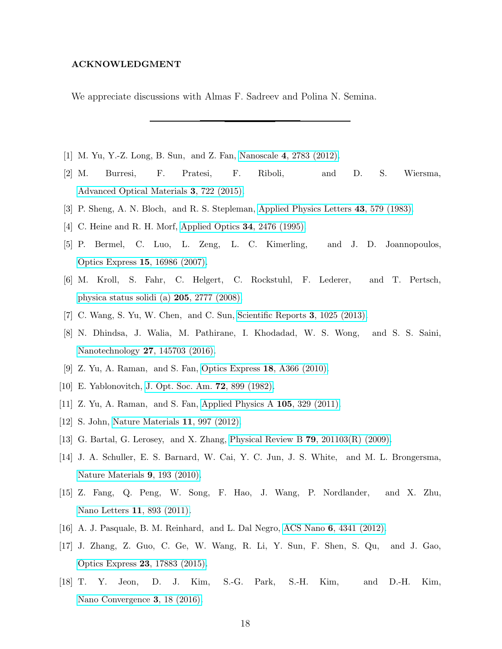## ACKNOWLEDGMENT

We appreciate discussions with Almas F. Sadreev and Polina N. Semina.

- <span id="page-17-1"></span><span id="page-17-0"></span>[1] M. Yu, Y.-Z. Long, B. Sun, and Z. Fan, Nanoscale 4[, 2783 \(2012\).](http://dx.doi.org/ 10.1039/c2nr30437f)
- [2] M. Burresi, F. Pratesi, F. Riboli, and D. S. Wiersma, [Advanced Optical Materials](http://dx.doi.org/ 10.1002/adom.201400514) 3, 722 (2015).
- <span id="page-17-3"></span><span id="page-17-2"></span>[3] P. Sheng, A. N. Bloch, and R. S. Stepleman, [Applied Physics Letters](http://dx.doi.org/10.1063/1.94432) 43, 579 (1983).
- [4] C. Heine and R. H. Morf, [Applied Optics](http://dx.doi.org/10.1364/ao.34.002476) 34, 2476 (1995).
- [5] P. Bermel, C. Luo, L. Zeng, L. C. Kimerling, and J. D. Joannopoulos, [Optics Express](http://dx.doi.org/ 10.1364/oe.15.016986) 15, 16986 (2007).
- [6] M. Kroll, S. Fahr, C. Helgert, C. Rockstuhl, F. Lederer, and T. Pertsch, [physica status solidi \(a\)](http://dx.doi.org/ 10.1002/pssa.200880453) 205, 2777 (2008).
- [7] C. Wang, S. Yu, W. Chen, and C. Sun, [Scientific Reports](http://dx.doi.org/10.1038/srep01025) 3, 1025 (2013).
- <span id="page-17-4"></span>[8] N. Dhindsa, J. Walia, M. Pathirane, I. Khodadad, W. S. Wong, and S. S. Saini, [Nanotechnology](http://dx.doi.org/ 10.1088/0957-4484/27/14/145703) 27, 145703 (2016).
- <span id="page-17-5"></span>[9] Z. Yu, A. Raman, and S. Fan, [Optics Express](http://dx.doi.org/ 10.1364/oe.18.00a366) 18, A366 (2010).
- <span id="page-17-6"></span>[10] E. Yablonovitch, [J. Opt. Soc. Am.](http://dx.doi.org/10.1364/josa.72.000899) 72, 899 (1982).
- <span id="page-17-8"></span><span id="page-17-7"></span>[11] Z. Yu, A. Raman, and S. Fan, [Applied Physics A](http://dx.doi.org/ 10.1007/s00339-011-6617-4) 105, 329 (2011).
- [12] S. John, [Nature Materials](http://dx.doi.org/10.1038/nmat3503) 11, 997 (2012).
- <span id="page-17-9"></span>[13] G. Bartal, G. Lerosey, and X. Zhang, Physical Review B 79[, 201103\(R\) \(2009\).](http://dx.doi.org/10.1103/physrevb.79.201103)
- [14] J. A. Schuller, E. S. Barnard, W. Cai, Y. C. Jun, J. S. White, and M. L. Brongersma, [Nature Materials](http://dx.doi.org/10.1038/nmat2630) 9, 193 (2010).
- [15] Z. Fang, Q. Peng, W. Song, F. Hao, J. Wang, P. Nordlander, and X. Zhu, [Nano Letters](http://dx.doi.org/10.1021/nl104333n) 11, 893 (2011).
- [16] A. J. Pasquale, B. M. Reinhard, and L. Dal Negro, ACS Nano 6[, 4341 \(2012\).](http://dx.doi.org/10.1021/nn301000u)
- [17] J. Zhang, Z. Guo, C. Ge, W. Wang, R. Li, Y. Sun, F. Shen, S. Qu, and J. Gao, [Optics Express](http://dx.doi.org/ 10.1364/oe.23.017883) 23, 17883 (2015).
- [18] T. Y. Jeon, D. J. Kim, S.-G. Park, S.-H. Kim, and D.-H. Kim, [Nano Convergence](http://dx.doi.org/ 10.1186/s40580-016-0078-6) 3, 18 (2016).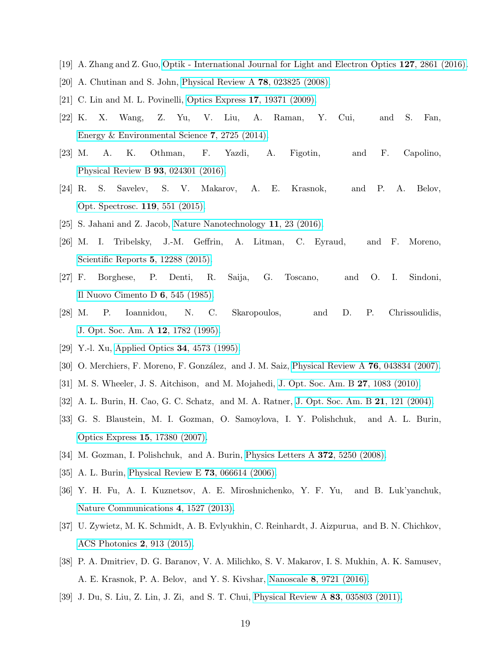- <span id="page-18-1"></span><span id="page-18-0"></span>[19] A. Zhang and Z. Guo, [Optik - International Journal for Light and Electron Optics](http://dx.doi.org/10.1016/j.ijleo.2015.12.001) 127, 2861 (2016).
- [20] A. Chutinan and S. John, [Physical Review A](http://dx.doi.org/10.1103/physreva.78.023825) 78, 023825 (2008).
- [21] C. Lin and M. L. Povinelli, [Optics Express](http://dx.doi.org/10.1364/oe.17.019371) 17, 19371 (2009).
- [22] K. X. Wang, Z. Yu, V. Liu, A. Raman, Y. Cui, and S. Fan, [Energy & Environmental Science](http://dx.doi.org/10.1039/c4ee00839a) 7, 2725 (2014).
- <span id="page-18-2"></span>[23] M. A. K. Othman, F. Yazdi, A. Figotin, and F. Capolino, [Physical Review B](http://dx.doi.org/10.1103/physrevb.93.024301) 93, 024301 (2016).
- <span id="page-18-3"></span>[24] R. S. Savelev, S. V. Makarov, A. E. Krasnok, and P. A. Belov, [Opt. Spectrosc.](http://dx.doi.org/10.1134/s0030400x15100240) 119, 551 (2015).
- <span id="page-18-5"></span><span id="page-18-4"></span>[25] S. Jahani and Z. Jacob, [Nature Nanotechnology](http://dx.doi.org/10.1038/nnano.2015.304) 11, 23 (2016).
- [26] M. I. Tribelsky, J.-M. Geffrin, A. Litman, C. Eyraud, and F. Moreno, [Scientific Reports](http://dx.doi.org/ 10.1038/srep12288) 5, 12288 (2015).
- <span id="page-18-6"></span>[27] F. Borghese, P. Denti, R. Saija, G. Toscano, and O. I. Sindoni, [Il Nuovo Cimento D](http://dx.doi.org/ 10.1007/bf02450590) 6, 545 (1985).
- [28] M. P. Ioannidou, N. C. Skaropoulos, and D. P. Chrissoulidis, [J. Opt. Soc. Am. A](http://dx.doi.org/10.1364/josaa.12.001782) 12, 1782 (1995).
- [29] Y.-l. Xu, [Applied Optics](http://dx.doi.org/10.1364/ao.34.004573) **34**, 4573 (1995).
- [30] O. Merchiers, F. Moreno, F. González, and J. M. Saiz, [Physical Review A](http://dx.doi.org/10.1103/physreva.76.043834) 76, 043834 (2007).
- <span id="page-18-7"></span>[31] M. S. Wheeler, J. S. Aitchison, and M. Mojahedi, [J. Opt. Soc. Am. B](http://dx.doi.org/10.1364/josab.27.001083) 27, 1083 (2010).
- <span id="page-18-8"></span>[32] A. L. Burin, H. Cao, G. C. Schatz, and M. A. Ratner, J. Opt. Soc. Am. B 21[, 121 \(2004\).](http://dx.doi.org/ 10.1364/josab.21.000121)
- <span id="page-18-14"></span>[33] G. S. Blaustein, M. I. Gozman, O. Samoylova, I. Y. Polishchuk, and A. L. Burin, [Optics Express](http://dx.doi.org/10.1364/oe.15.017380) 15, 17380 (2007).
- <span id="page-18-9"></span>[34] M. Gozman, I. Polishchuk, and A. Burin, [Physics Letters](http://dx.doi.org/10.1016/j.physleta.2008.05.084) A 372, 5250 (2008).
- <span id="page-18-10"></span>[35] A. L. Burin, [Physical Review E](http://dx.doi.org/10.1103/physreve.73.066614) 73, 066614 (2006).
- <span id="page-18-11"></span>[36] Y. H. Fu, A. I. Kuznetsov, A. E. Miroshnichenko, Y. F. Yu, and B. Luk'yanchuk, [Nature Communications](http://dx.doi.org/ 10.1038/ncomms2538) 4, 1527 (2013).
- [37] U. Zywietz, M. K. Schmidt, A. B. Evlyukhin, C. Reinhardt, J. Aizpurua, and B. N. Chichkov, [ACS Photonics](http://dx.doi.org/10.1021/acsphotonics.5b00105) 2, 913 (2015).
- <span id="page-18-12"></span>[38] P. A. Dmitriev, D. G. Baranov, V. A. Milichko, S. V. Makarov, I. S. Mukhin, A. K. Samusev, A. E. Krasnok, P. A. Belov, and Y. S. Kivshar, Nanoscale 8[, 9721 \(2016\).](http://dx.doi.org/ 10.1039/c5nr07965a)
- <span id="page-18-13"></span>[39] J. Du, S. Liu, Z. Lin, J. Zi, and S. T. Chui, [Physical Review A](http://dx.doi.org/ 10.1103/physreva.83.035803) 83, 035803 (2011).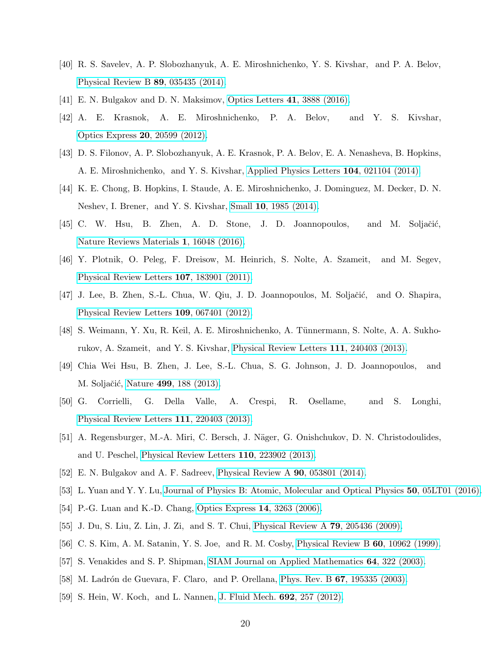- <span id="page-19-13"></span>[40] R. S. Savelev, A. P. Slobozhanyuk, A. E. Miroshnichenko, Y. S. Kivshar, and P. A. Belov, [Physical Review B](http://dx.doi.org/10.1103/physrevb.89.035435) 89, 035435 (2014).
- <span id="page-19-1"></span><span id="page-19-0"></span>[41] E. N. Bulgakov and D. N. Maksimov, [Optics Letters](http://dx.doi.org/10.1364/ol.41.003888) 41, 3888 (2016).
- [42] A. E. Krasnok, A. E. Miroshnichenko, P. A. Belov, and Y. S. Kivshar, [Optics Express](http://dx.doi.org/10.1364/oe.20.020599) 20, 20599 (2012).
- <span id="page-19-2"></span>[43] D. S. Filonov, A. P. Slobozhanyuk, A. E. Krasnok, P. A. Belov, E. A. Nenasheva, B. Hopkins, A. E. Miroshnichenko, and Y. S. Kivshar, [Applied Physics Letters](http://dx.doi.org/ 10.1063/1.4858969) 104, 021104 (2014).
- <span id="page-19-3"></span>[44] K. E. Chong, B. Hopkins, I. Staude, A. E. Miroshnichenko, J. Dominguez, M. Decker, D. N. Neshev, I. Brener, and Y. S. Kivshar, Small 10[, 1985 \(2014\).](http://dx.doi.org/10.1002/smll.201303612)
- <span id="page-19-4"></span>[45] C. W. Hsu, B. Zhen, A. D. Stone, J. D. Joannopoulos, and M. Soljačić, [Nature Reviews Materials](http://dx.doi.org/10.1038/natrevmats.2016.48) 1, 16048 (2016).
- <span id="page-19-5"></span>[46] Y. Plotnik, O. Peleg, F. Dreisow, M. Heinrich, S. Nolte, A. Szameit, and M. Segev, [Physical Review Letters](http://dx.doi.org/10.1103/physrevlett.107.183901) 107, 183901 (2011).
- [47] J. Lee, B. Zhen, S.-L. Chua, W. Qiu, J. D. Joannopoulos, M. Soljačić, and O. Shapira, [Physical Review Letters](http://dx.doi.org/ 10.1103/physrevlett.109.067401) 109, 067401 (2012).
- [48] S. Weimann, Y. Xu, R. Keil, A. E. Miroshnichenko, A. Tünnermann, S. Nolte, A. A. Sukhorukov, A. Szameit, and Y. S. Kivshar, [Physical Review Letters](http://dx.doi.org/ 10.1103/physrevlett.111.240403) 111, 240403 (2013).
- [49] Chia Wei Hsu, B. Zhen, J. Lee, S.-L. Chua, S. G. Johnson, J. D. Joannopoulos, and M. Soljačić, Nature 499[, 188 \(2013\).](http://dx.doi.org/10.1038/nature12289)
- [50] G. Corrielli, G. Della Valle, A. Crespi, R. Osellame, and S. Longhi, [Physical Review Letters](http://dx.doi.org/10.1103/physrevlett.111.220403) 111, 220403 (2013).
- <span id="page-19-6"></span>[51] A. Regensburger, M.-A. Miri, C. Bersch, J. Näger, G. Onishchukov, D. N. Christodoulides, and U. Peschel, [Physical Review Letters](http://dx.doi.org/ 10.1103/physrevlett.110.223902) 110, 223902 (2013).
- <span id="page-19-7"></span>[52] E. N. Bulgakov and A. F. Sadreev, [Physical Review A](http://dx.doi.org/10.1103/physreva.90.053801) 90, 053801 (2014).
- <span id="page-19-8"></span>[53] L. Yuan and Y. Y. Lu, [Journal of Physics B: Atomic, Molecular and Optical Physics](http://dx.doi.org/10.1088/1361-6455/aa5480) 50, 05LT01 (2016).
- <span id="page-19-9"></span>[54] P.-G. Luan and K.-D. Chang, [Optics Express](http://dx.doi.org/10.1364/oe.14.003263) 14, 3263 (2006).
- <span id="page-19-10"></span>[55] J. Du, S. Liu, Z. Lin, J. Zi, and S. T. Chui, [Physical Review A](http://dx.doi.org/ 10.1103/physreva.79.051801) 79, 205436 (2009).
- <span id="page-19-11"></span>[56] C. S. Kim, A. M. Satanin, Y. S. Joe, and R. M. Cosby, [Physical Review B](http://dx.doi.org/10.1103/physrevb.60.10962) 60, 10962 (1999).
- [57] S. Venakides and S. P. Shipman, [SIAM Journal on Applied Mathematics](http://dx.doi.org/10.1137/s0036139902411120) 64, 322 (2003).
- [58] M. Ladrón de Guevara, F. Claro, and P. Orellana, Phys. Rev. B 67[, 195335 \(2003\).](http://dx.doi.org/10.1103/physrevb.67.195335)
- <span id="page-19-12"></span>[59] S. Hein, W. Koch, and L. Nannen, [J. Fluid Mech.](http://dx.doi.org/10.1017/jfm.2011.509) 692, 257 (2012).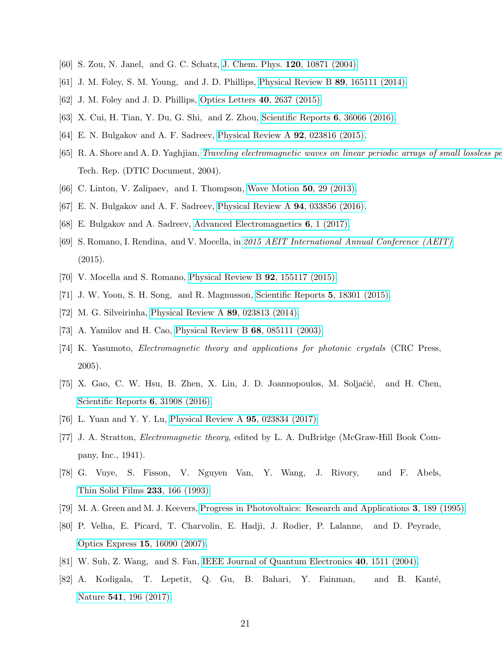- <span id="page-20-1"></span><span id="page-20-0"></span>[60] S. Zou, N. Janel, and G. C. Schatz, [J. Chem. Phys.](http://dx.doi.org/10.1063/1.1760740) 120, 10871 (2004).
- [61] J. M. Foley, S. M. Young, and J. D. Phillips, [Physical Review B](http://dx.doi.org/10.1103/physrevb.89.165111) 89, 165111 (2014).
- [62] J. M. Foley and J. D. Phillips, [Optics Letters](http://dx.doi.org/10.1364/ol.40.002637) 40, 2637 (2015).
- <span id="page-20-3"></span><span id="page-20-2"></span>[63] X. Cui, H. Tian, Y. Du, G. Shi, and Z. Zhou, [Scientific Reports](http://dx.doi.org/ 10.1038/srep36066) 6, 36066 (2016).
- <span id="page-20-4"></span>[64] E. N. Bulgakov and A. F. Sadreev, [Physical Review A](http://dx.doi.org/10.1103/physreva.92.023816) 92, 023816 (2015).
- [65] R. A. Shore and A. D. Yaghjian, [Traveling electromagnetic waves on linear periodic arrays](http://oai.dtic.mil/oai/oai?verb=getRecord&metadataPrefix=html&identifier=ADA429387) of small lossless pe Tech. Rep. (DTIC Document, 2004).
- <span id="page-20-6"></span><span id="page-20-5"></span>[66] C. Linton, V. Zalipaev, and I. Thompson, [Wave Motion](http://dx.doi.org/10.1016/j.wavemoti.2012.06.002) 50, 29 (2013).
- <span id="page-20-7"></span>[67] E. N. Bulgakov and A. F. Sadreev, [Physical Review A](http://dx.doi.org/10.1103/physreva.94.033856) 94, 033856 (2016).
- <span id="page-20-8"></span>[68] E. Bulgakov and A. Sadreev, [Advanced Electromagnetics](http://dx.doi.org/10.7716/aem.v6i1.423) 6, 1 (2017).
- [69] S. Romano, I. Rendina, and V. Mocella, in [2015 AEIT International Annual Conference \(AEIT\)](http://dx.doi.org/10.1109/aeit.2015.7415212) (2015).
- <span id="page-20-9"></span>[70] V. Mocella and S. Romano, [Physical Review B](http://dx.doi.org/10.1103/physrevb.92.155117) 92, 155117 (2015).
- <span id="page-20-10"></span>[71] J. W. Yoon, S. H. Song, and R. Magnusson, [Scientific Reports](http://dx.doi.org/10.1038/srep18301) 5, 18301 (2015).
- <span id="page-20-11"></span>[72] M. G. Silveirinha, [Physical Review A](http://dx.doi.org/10.1103/physreva.89.023813) 89, 023813 (2014).
- <span id="page-20-12"></span>[73] A. Yamilov and H. Cao, [Physical Review B](http://dx.doi.org/10.1103/physrevb.68.085111) 68, 085111 (2003).
- [74] K. Yasumoto, Electromagnetic theory and applications for photonic crystals (CRC Press, 2005).
- <span id="page-20-13"></span>[75] X. Gao, C. W. Hsu, B. Zhen, X. Lin, J. D. Joannopoulos, M. Soljačić, and H. Chen, [Scientific Reports](http://dx.doi.org/ 10.1038/srep31908) 6, 31908 (2016).
- <span id="page-20-14"></span>[76] L. Yuan and Y. Y. Lu, [Physical Review A](http://dx.doi.org/10.1103/physreva.95.023834) 95, 023834 (2017).
- <span id="page-20-15"></span>[77] J. A. Stratton, Electromagnetic theory, edited by L. A. DuBridge (McGraw-Hill Book Company, Inc., 1941).
- <span id="page-20-16"></span>[78] G. Vuye, S. Fisson, V. Nguyen Van, Y. Wang, J. Rivory, and F. Abels, [Thin Solid Films](http://dx.doi.org/ 10.1016/0040-6090(93)90082-z) 233, 166 (1993).
- <span id="page-20-17"></span>[79] M. A. Green and M. J. Keevers, [Progress in Photovoltaics: Research and Applications](http://dx.doi.org/10.1002/pip.4670030303) 3, 189 (1995).
- <span id="page-20-18"></span>[80] P. Velha, E. Picard, T. Charvolin, E. Hadji, J. Rodier, P. Lalanne, and D. Peyrade, [Optics Express](http://dx.doi.org/10.1364/oe.15.016090) 15, 16090 (2007).
- <span id="page-20-19"></span>[81] W. Suh, Z. Wang, and S. Fan, [IEEE Journal of Quantum Electronics](http://dx.doi.org/ 10.1109/jqe.2004.834773) 40, 1511 (2004).
- <span id="page-20-20"></span>[82] A. Kodigala, T. Lepetit, Q. Gu, B. Bahari, Y. Fainman, and B. Kanté, Nature 541[, 196 \(2017\).](http://dx.doi.org/10.1038/nature20799)